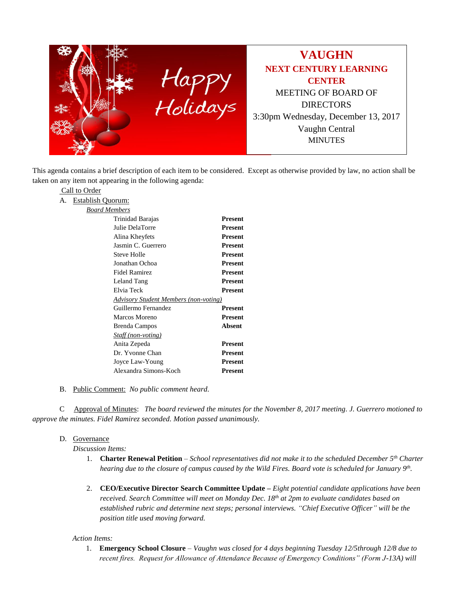

This agenda contains a brief description of each item to be considered. Except as otherwise provided by law, no action shall be taken on any item not appearing in the following agenda:

## Call to Order

A. Establish Quorum:

|--|

| Trinidad Barajas                             | Present        |
|----------------------------------------------|----------------|
| Julie DelaTorre                              | Present        |
| Alina Kheyfets                               | Present        |
| Jasmin C. Guerrero                           | Present        |
| Steve Holle                                  | Present        |
| Jonathan Ochoa                               | Present        |
| Fidel Ramirez                                | Present        |
| Leland Tang                                  | Present        |
| Elvia Teck                                   | Present        |
| <b>Advisory Student Members (non-voting)</b> |                |
| Guillermo Fernandez                          | <b>Present</b> |
| Marcos Moreno                                | Present        |
| Brenda Campos                                | Absent         |
| Staff (non-voting)                           |                |
| Anita Zepeda                                 | <b>Present</b> |
| Dr. Yvonne Chan                              | Present        |
| Joyce Law-Young                              | Present        |
| Alexandra Simons-Koch                        | Present        |

B. Public Comment: *No public comment heard.*

C Approval of Minutes: *The board reviewed the minutes for the November 8, 2017 meeting. J. Guerrero motioned to approve the minutes. Fidel Ramirez seconded. Motion passed unanimously.*

## D. Governance

*Discussion Items:*

- 1. **Charter Renewal Petition** *School representatives did not make it to the scheduled December 5th Charter hearing due to the closure of campus caused by the Wild Fires. Board vote is scheduled for January 9th .*
- 2. **CEO/Executive Director Search Committee Update –** *Eight potential candidate applications have been received. Search Committee will meet on Monday Dec. 18th at 2pm to evaluate candidates based on established rubric and determine next steps; personal interviews. "Chief Executive Officer" will be the position title used moving forward.*

## *Action Items:*

1. **Emergency School Closure** – *Vaughn was closed for 4 days beginning Tuesday 12/5through 12/8 due to recent fires. Request for Allowance of Attendance Because of Emergency Conditions" (Form J-13A) will*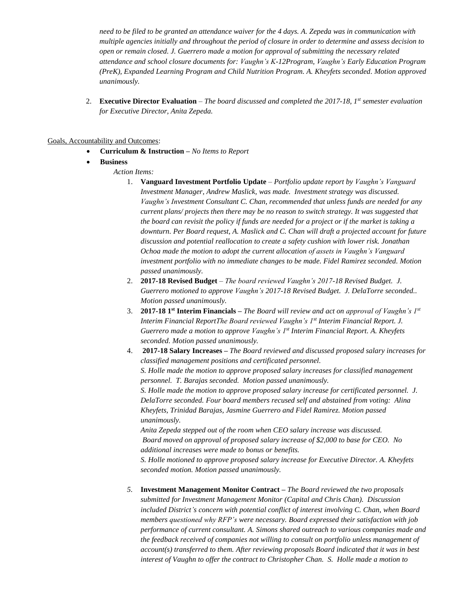*need to be filed to be granted an attendance waiver for the 4 days. A. Zepeda was in communication with multiple agencies initially and throughout the period of closure in order to determine and assess decision to open or remain closed. J. Guerrero made a motion for approval of submitting the necessary related attendance and school closure documents for: Vaughn's K-12Program, Vaughn's Early Education Program (PreK), Expanded Learning Program and Child Nutrition Program. A. Kheyfets seconded. Motion approved unanimously.*

2. **Executive Director Evaluation** – *The board discussed and completed the 2017-18, 1st semester evaluation for Executive Director, Anita Zepeda.*

## Goals, Accountability and Outcomes:

- **Curriculum & Instruction –** *No Items to Report*
- **Business**
	- *Action Items:*
		- 1. **Vanguard Investment Portfolio Update** *Portfolio update report by Vaughn's Vanguard Investment Manager, Andrew Maslick, was made. Investment strategy was discussed. Vaughn's Investment Consultant C. Chan, recommended that unless funds are needed for any current plans/ projects then there may be no reason to switch strategy. It was suggested that the board can revisit the policy if funds are needed for a project or if the market is taking a downturn. Per Board request, A. Maslick and C. Chan will draft a projected account for future discussion and potential reallocation to create a safety cushion with lower risk. Jonathan Ochoa made the motion to adopt the current allocation of assets in Vaughn's Vanguard investment portfolio with no immediate changes to be made. Fidel Ramirez seconded. Motion passed unanimously.*
		- 2. **2017-18 Revised Budget** *The board reviewed Vaughn's 2017-18 Revised Budget. J. Guerrero motioned to approve Vaughn's 2017-18 Revised Budget. J. DelaTorre seconded.. Motion passed unanimously.*
		- 3. **2017-18 1st Interim Financials –** *The Board will review and act on approval of Vaughn's 1st Interim Financial ReportThe Board reviewed Vaughn's 1st Interim Financial Report. J. Guerrero made a motion to approve Vaughn's 1st Interim Financial Report. A. Kheyfets seconded. Motion passed unanimously.*
		- 4. **2017-18 Salary Increases –** *The Board reviewed and discussed proposed salary increases for classified management positions and certificated personnel. S. Holle made the motion to approve proposed salary increases for classified management personnel. T. Barajas seconded. Motion passed unanimously. S. Holle made the motion to approve proposed salary increase for certificated personnel. J. DelaTorre seconded. Four board members recused self and abstained from voting: Alina Kheyfets, Trinidad Barajas, Jasmine Guerrero and Fidel Ramirez. Motion passed unanimously. Anita Zepeda stepped out of the room when CEO salary increase was discussed.*

*Board moved on approval of proposed salary increase of \$2,000 to base for CEO. No additional increases were made to bonus or benefits.*

*S. Holle motioned to approve proposed salary increase for Executive Director. A. Kheyfets seconded motion. Motion passed unanimously.*

*5.* **Investment Management Monitor Contract –** *The Board reviewed the two proposals submitted for Investment Management Monitor (Capital and Chris Chan). Discussion included District's concern with potential conflict of interest involving C. Chan, when Board members questioned why RFP's were necessary. Board expressed their satisfaction with job performance of current consultant. A. Simons shared outreach to various companies made and the feedback received of companies not willing to consult on portfolio unless management of account(s) transferred to them. After reviewing proposals Board indicated that it was in best interest of Vaughn to offer the contract to Christopher Chan. S. Holle made a motion to*